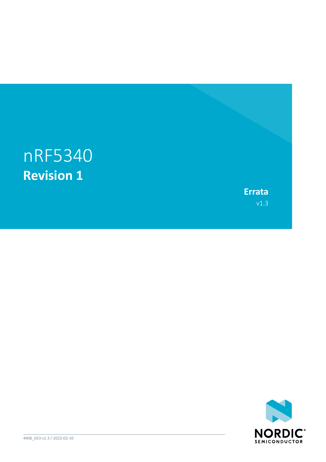# nRF5340 **Revision 1**

**Errata** v1.3

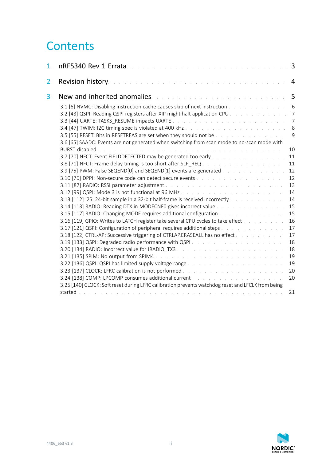# **Contents**

| 1 |                                                                                                                                                                                                                                                     | 3              |
|---|-----------------------------------------------------------------------------------------------------------------------------------------------------------------------------------------------------------------------------------------------------|----------------|
| 2 | Revision history.<br>the second contract of the second contract of the second contract of the second contract of the second contract of the second contract of the second contract of the second contract of the second contract of the second cont | 4              |
| 3 | <b>New and inherited anomalies.</b> And a substitution of the substitution of the set of the set of the set of the set of the set of the set of the set of the set of the set of the set of the set of the set of the set of the se                 | 5              |
|   | 3.1 [6] NVMC: Disabling instruction cache causes skip of next instruction                                                                                                                                                                           | 6              |
|   | 3.2 [43] QSPI: Reading QSPI registers after XIP might halt application CPU                                                                                                                                                                          | $\overline{7}$ |
|   |                                                                                                                                                                                                                                                     | $\overline{7}$ |
|   | 3.5 [55] RESET: Bits in RESETREAS are set when they should not be                                                                                                                                                                                   | 8<br>9         |
|   | 3.6 [65] SAADC: Events are not generated when switching from scan mode to no-scan mode with                                                                                                                                                         |                |
|   |                                                                                                                                                                                                                                                     | 10             |
|   | 3.7 [70] NFCT: Event FIELDDETECTED may be generated too early                                                                                                                                                                                       | 11             |
|   | 3.8 [71] NFCT: Frame delay timing is too short after SLP REQ                                                                                                                                                                                        | 11             |
|   | 3.9 [75] PWM: False SEQEND[0] and SEQEND[1] events are generated                                                                                                                                                                                    | 12             |
|   |                                                                                                                                                                                                                                                     | 12             |
|   |                                                                                                                                                                                                                                                     | 13             |
|   |                                                                                                                                                                                                                                                     | 14             |
|   | 3.13 [112] I2S: 24-bit sample in a 32-bit half-frame is received incorrectly                                                                                                                                                                        | 14             |
|   | 3.14 [113] RADIO: Reading DTX in MODECNFO gives incorrect value                                                                                                                                                                                     | 15             |
|   | 3.15 [117] RADIO: Changing MODE requires additional configuration                                                                                                                                                                                   | 15             |
|   | 3.16 [119] GPIO: Writes to LATCH register take several CPU cycles to take effect                                                                                                                                                                    | 16             |
|   | 3.17 [121] QSPI: Configuration of peripheral requires additional steps                                                                                                                                                                              | 17<br>17       |
|   |                                                                                                                                                                                                                                                     | 18             |
|   |                                                                                                                                                                                                                                                     | 18             |
|   |                                                                                                                                                                                                                                                     | 19             |
|   |                                                                                                                                                                                                                                                     | 19             |
|   |                                                                                                                                                                                                                                                     | 20             |
|   |                                                                                                                                                                                                                                                     | 20             |
|   | 3.25 [140] CLOCK: Soft reset during LFRC calibration prevents watchdog reset and LFCLK from being                                                                                                                                                   |                |
|   | started<br>de la caractería de la caractería de la caractería de la caractería de la caractería                                                                                                                                                     | 21             |
|   |                                                                                                                                                                                                                                                     |                |

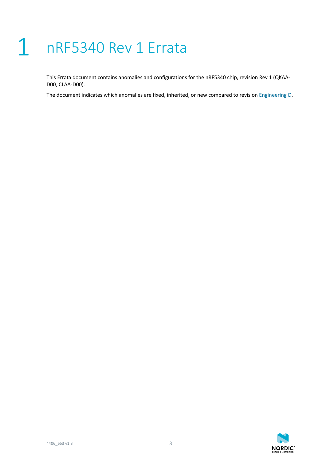# <span id="page-2-0"></span>1 nRF5340 Rev 1 Errata

This Errata document contains anomalies and configurations for the nRF5340 chip, revision Rev 1 (QKAA-D00, CLAA-D00).

The document indicates which anomalies are fixed, inherited, or new compared to revision [Engineering D](https://infocenter.nordicsemi.com/topic/errata_nRF5340_EngD/ERR/nRF5340/EngineeringD/latest/err_340.html).

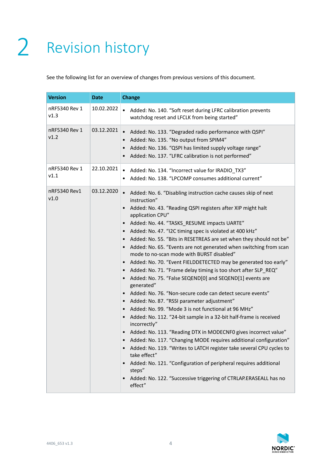# <span id="page-3-0"></span>2 Revision history

See the following list for an overview of changes from previous versions of this document.

| <b>Version</b>        | <b>Date</b> | <b>Change</b>                                                                                                                                                                                                                                                                                                                                                                                                                                                                                                                                                                                                                                                                                                                                                                                                                                                                                                                                                                                                                                                                                                                                                                                                                                                                                                                                                                                                                                                                                                                                          |
|-----------------------|-------------|--------------------------------------------------------------------------------------------------------------------------------------------------------------------------------------------------------------------------------------------------------------------------------------------------------------------------------------------------------------------------------------------------------------------------------------------------------------------------------------------------------------------------------------------------------------------------------------------------------------------------------------------------------------------------------------------------------------------------------------------------------------------------------------------------------------------------------------------------------------------------------------------------------------------------------------------------------------------------------------------------------------------------------------------------------------------------------------------------------------------------------------------------------------------------------------------------------------------------------------------------------------------------------------------------------------------------------------------------------------------------------------------------------------------------------------------------------------------------------------------------------------------------------------------------------|
| nRF5340 Rev 1<br>v1.3 | 10.02.2022  | Added: No. 140. "Soft reset during LFRC calibration prevents<br>$\bullet$<br>watchdog reset and LFCLK from being started"                                                                                                                                                                                                                                                                                                                                                                                                                                                                                                                                                                                                                                                                                                                                                                                                                                                                                                                                                                                                                                                                                                                                                                                                                                                                                                                                                                                                                              |
| nRF5340 Rev 1<br>v1.2 | 03.12.2021  | Added: No. 133. "Degraded radio performance with QSPI"<br>$\bullet$<br>Added: No. 135. "No output from SPIM4"<br>$\bullet$<br>Added: No. 136. "QSPI has limited supply voltage range"<br>$\bullet$<br>Added: No. 137. "LFRC calibration is not performed"<br>$\bullet$                                                                                                                                                                                                                                                                                                                                                                                                                                                                                                                                                                                                                                                                                                                                                                                                                                                                                                                                                                                                                                                                                                                                                                                                                                                                                 |
| nRF5340 Rev 1<br>v1.1 | 22.10.2021  | Added: No. 134. "Incorrect value for IRADIO_TX3"<br>$\bullet$<br>Added: No. 138. "LPCOMP consumes additional current"<br>$\bullet$                                                                                                                                                                                                                                                                                                                                                                                                                                                                                                                                                                                                                                                                                                                                                                                                                                                                                                                                                                                                                                                                                                                                                                                                                                                                                                                                                                                                                     |
| nRF5340 Rev1<br>v1.0  | 03.12.2020  | Added: No. 6. "Disabling instruction cache causes skip of next<br>$\bullet$<br>instruction"<br>Added: No. 43. "Reading QSPI registers after XIP might halt<br>$\bullet$<br>application CPU"<br>Added: No. 44. "TASKS_RESUME impacts UARTE"<br>$\bullet$<br>Added: No. 47. "I2C timing spec is violated at 400 kHz"<br>$\bullet$<br>Added: No. 55. "Bits in RESETREAS are set when they should not be"<br>$\bullet$<br>Added: No. 65. "Events are not generated when switching from scan<br>$\bullet$<br>mode to no-scan mode with BURST disabled"<br>Added: No. 70. "Event FIELDDETECTED may be generated too early"<br>$\bullet$<br>Added: No. 71. "Frame delay timing is too short after SLP_REQ"<br>$\bullet$<br>Added: No. 75. "False SEQEND[0] and SEQEND[1] events are<br>$\bullet$<br>generated"<br>Added: No. 76. "Non-secure code can detect secure events"<br>$\bullet$<br>Added: No. 87. "RSSI parameter adjustment"<br>$\bullet$<br>Added: No. 99. "Mode 3 is not functional at 96 MHz"<br>$\bullet$<br>Added: No. 112. "24-bit sample in a 32-bit half-frame is received<br>$\bullet$<br>incorrectly"<br>Added: No. 113. "Reading DTX in MODECNF0 gives incorrect value"<br>Added: No. 117. "Changing MODE requires additional configuration"<br>Added: No. 119. "Writes to LATCH register take several CPU cycles to<br>$\bullet$<br>take effect"<br>Added: No. 121. "Configuration of peripheral requires additional<br>$\bullet$<br>steps"<br>Added: No. 122. "Successive triggering of CTRLAP.ERASEALL has no<br>$\bullet$<br>effect" |

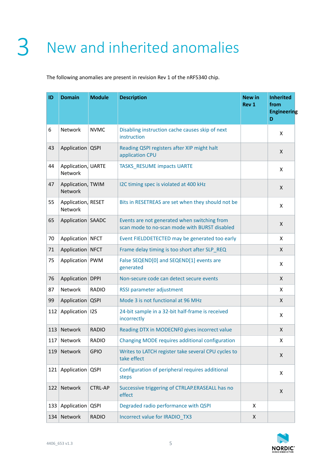# <span id="page-4-0"></span>3 New and inherited anomalies

The following anomalies are present in revision Rev 1 of the nRF5340 chip.

| ID  | <b>Domain</b>                 | <b>Module</b>  | <b>Description</b>                                                                            | New in<br>Rev 1 | <b>Inherited</b><br>from<br>Engineering<br>D |
|-----|-------------------------------|----------------|-----------------------------------------------------------------------------------------------|-----------------|----------------------------------------------|
| 6   | Network                       | <b>NVMC</b>    | Disabling instruction cache causes skip of next<br>instruction                                |                 | X                                            |
| 43  | Application QSPI              |                | Reading QSPI registers after XIP might halt<br>application CPU                                |                 | X                                            |
| 44  | Application, UARTE<br>Network |                | <b>TASKS_RESUME impacts UARTE</b>                                                             |                 | X                                            |
| 47  | Application, TWIM<br>Network  |                | I2C timing spec is violated at 400 kHz                                                        |                 | X                                            |
| 55  | Application, RESET<br>Network |                | Bits in RESETREAS are set when they should not be                                             |                 | X                                            |
| 65  | Application SAADC             |                | Events are not generated when switching from<br>scan mode to no-scan mode with BURST disabled |                 | X                                            |
| 70  | Application NFCT              |                | Event FIELDDETECTED may be generated too early                                                |                 | X                                            |
| 71  | Application                   | <b>NFCT</b>    | Frame delay timing is too short after SLP REQ                                                 |                 | X                                            |
| 75  | Application PWM               |                | False SEQEND[0] and SEQEND[1] events are<br>generated                                         |                 | X                                            |
| 76  | Application DPPI              |                | Non-secure code can detect secure events                                                      |                 | X                                            |
| 87  | Network                       | <b>RADIO</b>   | RSSI parameter adjustment                                                                     |                 | X                                            |
| 99  | Application                   | <b>QSPI</b>    | Mode 3 is not functional at 96 MHz                                                            |                 | X                                            |
| 112 | Application   I2S             |                | 24-bit sample in a 32-bit half-frame is received<br>incorrectly                               |                 | X                                            |
| 113 | Network                       | <b>RADIO</b>   | Reading DTX in MODECNF0 gives incorrect value                                                 |                 | X                                            |
| 117 | Network                       | <b>RADIO</b>   | Changing MODE requires additional configuration                                               |                 | Χ                                            |
| 119 | Network                       | <b>GPIO</b>    | Writes to LATCH register take several CPU cycles to<br>take effect                            |                 | Χ                                            |
| 121 | Application                   | <b>QSPI</b>    | Configuration of peripheral requires additional<br>steps                                      |                 | X                                            |
| 122 | Network                       | <b>CTRL-AP</b> | Successive triggering of CTRLAP.ERASEALL has no<br>effect                                     |                 | X                                            |
| 133 | Application                   | <b>QSPI</b>    | Degraded radio performance with QSPI                                                          | X               |                                              |
| 134 | Network                       | <b>RADIO</b>   | Incorrect value for IRADIO_TX3                                                                | X               |                                              |

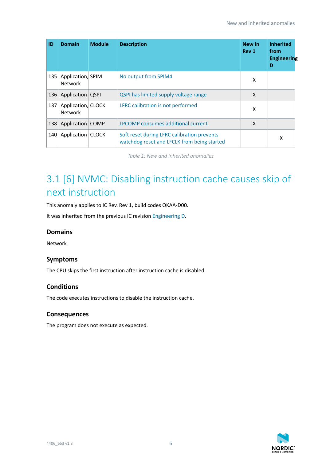| ID  | <b>Domain</b>                        | <b>Module</b> | <b>Description</b>                                                                         | <b>New in</b><br>Rev 1 | <b>Inherited</b><br>from<br>Engineering<br>D |
|-----|--------------------------------------|---------------|--------------------------------------------------------------------------------------------|------------------------|----------------------------------------------|
| 135 | Application, SPIM<br><b>Network</b>  |               | No output from SPIM4                                                                       | X                      |                                              |
| 136 | Application                          | <b>QSPI</b>   | QSPI has limited supply voltage range                                                      | X                      |                                              |
| 137 | Application, CLOCK<br><b>Network</b> |               | LFRC calibration is not performed                                                          | x                      |                                              |
| 138 | Application                          | <b>COMP</b>   | LPCOMP consumes additional current                                                         | X                      |                                              |
| 140 | Application                          | <b>CLOCK</b>  | Soft reset during LFRC calibration prevents<br>watchdog reset and LFCLK from being started |                        | x                                            |

*Table 1: New and inherited anomalies*

# <span id="page-5-0"></span>3.1 [6] NVMC: Disabling instruction cache causes skip of next instruction

This anomaly applies to IC Rev. Rev 1, build codes QKAA-D00.

It was inherited from the previous IC revision [Engineering D.](https://infocenter.nordicsemi.com/topic/errata_nRF5340_EngD/ERR/nRF5340/EngineeringD/latest/err_340.html)

### **Domains**

Network

# **Symptoms**

The CPU skips the first instruction after instruction cache is disabled.

# **Conditions**

The code executes instructions to disable the instruction cache.

# **Consequences**

The program does not execute as expected.

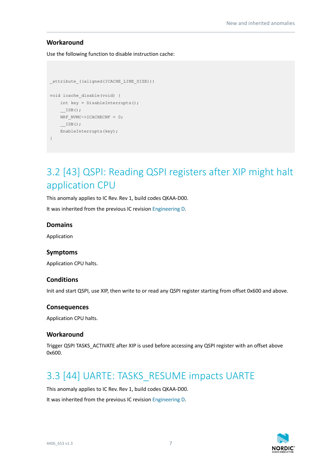# **Workaround**

Use the following function to disable instruction cache:

```
attribute ((aligned(ICACHE_LINE_SIZE)))
void icache_disable(void) {
    int key = DisableInterrupts();
     __ISB();
   NRF_NVMC->ICACHECNF = 0; __ISB();
    EnableInterrupts(key);
}
```
# <span id="page-6-0"></span>3.2 [43] QSPI: Reading QSPI registers after XIP might halt application CPU

This anomaly applies to IC Rev. Rev 1, build codes QKAA-D00.

It was inherited from the previous IC revision [Engineering D.](https://infocenter.nordicsemi.com/topic/errata_nRF5340_EngD/ERR/nRF5340/EngineeringD/latest/err_340.html)

#### **Domains**

Application

#### **Symptoms**

Application CPU halts.

#### **Conditions**

Init and start QSPI, use XIP, then write to or read any QSPI register starting from offset 0x600 and above.

#### **Consequences**

Application CPU halts.

#### **Workaround**

Trigger QSPI TASKS\_ACTIVATE after XIP is used before accessing any QSPI register with an offset above 0x600.

# <span id="page-6-1"></span>3.3 [44] UARTE: TASKS\_RESUME impacts UARTE

This anomaly applies to IC Rev. Rev 1, build codes QKAA-D00.

It was inherited from the previous IC revision [Engineering D.](https://infocenter.nordicsemi.com/topic/errata_nRF5340_EngD/ERR/nRF5340/EngineeringD/latest/err_340.html)

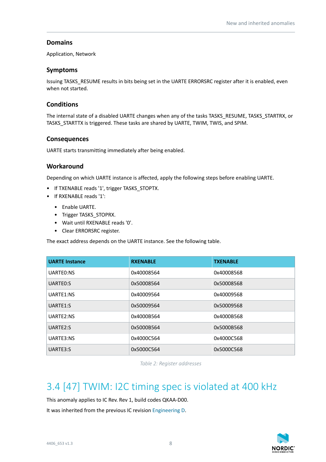# **Domains**

Application, Network

### **Symptoms**

Issuing TASKS\_RESUME results in bits being set in the UARTE ERRORSRC register after it is enabled, even when not started.

# **Conditions**

The internal state of a disabled UARTE changes when any of the tasks TASKS\_RESUME, TASKS\_STARTRX, or TASKS\_STARTTX is triggered. These tasks are shared by UARTE, TWIM, TWIS, and SPIM.

# **Consequences**

UARTE starts transmitting immediately after being enabled.

### **Workaround**

Depending on which UARTE instance is affected, apply the following steps before enabling UARTE.

- If TXENABLE reads '1', trigger TASKS\_STOPTX.
- If RXENABLE reads '1':
	- Enable UARTE.
	- Trigger TASKS STOPRX.
	- Wait until RXENABLE reads '0'.
	- Clear ERRORSRC register.

The exact address depends on the UARTE instance. See the following table.

| <b>UARTE Instance</b> | <b>RXENABLE</b> | <b>TXENABLE</b> |
|-----------------------|-----------------|-----------------|
| UARTEO:NS             | 0x40008564      | 0x40008568      |
| UARTEO:S              | 0x50008564      | 0x50008568      |
| UARTE1:NS             | 0x40009564      | 0x40009568      |
| UARTE1:S              | 0x50009564      | 0x50009568      |
| UARTE2:NS             | 0x4000B564      | 0x4000B568      |
| UARTE2:S              | 0x5000B564      | 0x5000B568      |
| UARTE3:NS             | 0x4000C564      | 0x4000C568      |
| UARTE3:S              | 0x5000C564      | 0x5000C568      |

*Table 2: Register addresses*

# <span id="page-7-0"></span>3.4 [47] TWIM: I2C timing spec is violated at 400 kHz

This anomaly applies to IC Rev. Rev 1, build codes QKAA-D00.

It was inherited from the previous IC revision [Engineering D.](https://infocenter.nordicsemi.com/topic/errata_nRF5340_EngD/ERR/nRF5340/EngineeringD/latest/err_340.html)

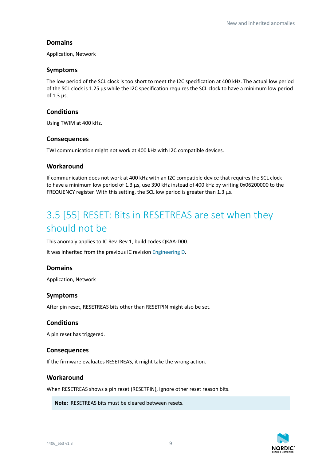# **Domains**

Application, Network

### **Symptoms**

The low period of the SCL clock is too short to meet the I2C specification at 400 kHz. The actual low period of the SCL clock is 1.25 µs while the I2C specification requires the SCL clock to have a minimum low period of 1.3 µs.

# **Conditions**

Using TWIM at 400 kHz.

### **Consequences**

TWI communication might not work at 400 kHz with I2C compatible devices.

### **Workaround**

If communication does not work at 400 kHz with an I2C compatible device that requires the SCL clock to have a minimum low period of 1.3 µs, use 390 kHz instead of 400 kHz by writing 0x06200000 to the FREQUENCY register. With this setting, the SCL low period is greater than 1.3 µs.

# <span id="page-8-0"></span>3.5 [55] RESET: Bits in RESETREAS are set when they should not be

This anomaly applies to IC Rev. Rev 1, build codes QKAA-D00.

It was inherited from the previous IC revision [Engineering D.](https://infocenter.nordicsemi.com/topic/errata_nRF5340_EngD/ERR/nRF5340/EngineeringD/latest/err_340.html)

# **Domains**

Application, Network

# **Symptoms**

After pin reset, RESETREAS bits other than RESETPIN might also be set.

# **Conditions**

A pin reset has triggered.

#### **Consequences**

If the firmware evaluates RESETREAS, it might take the wrong action.

#### **Workaround**

When RESETREAS shows a pin reset (RESETPIN), ignore other reset reason bits.

**Note:** RESETREAS bits must be cleared between resets.

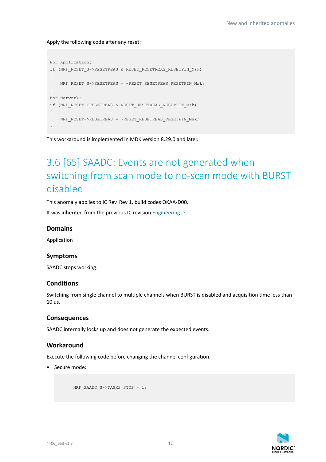Apply the following code after any reset:

```
For Application:
if (NRF_RESET_S->RESETREAS & RESET_RESETREAS_RESETPIN_Msk)
{
    NRF_RESET_S->RESETREAS = ~RESET_RESETREAS_RESETPIN_Msk;
}
For Network:
if (NRF_RESET->RESETREAS & RESET_RESETREAS_RESETPIN_Msk)
{
    NRF_RESET->RESETREAS = ~RESET_RESETREAS_RESETPIN_Msk;
}
```
This workaround is implemented in MDK version 8.29.0 and later.

# <span id="page-9-0"></span>3.6 [65] SAADC: Events are not generated when switching from scan mode to no-scan mode with BURST disabled

This anomaly applies to IC Rev. Rev 1, build codes QKAA-D00.

It was inherited from the previous IC revision [Engineering D.](https://infocenter.nordicsemi.com/topic/errata_nRF5340_EngD/ERR/nRF5340/EngineeringD/latest/err_340.html)

#### **Domains**

Application

#### **Symptoms**

SAADC stops working.

#### **Conditions**

Switching from single channel to multiple channels when BURST is disabled and acquisition time less than 10 us.

#### **Consequences**

SAADC internally locks up and does not generate the expected events.

#### **Workaround**

Execute the following code before changing the channel configuration.

• Secure mode:

NRF\_SAADC\_S->TASKS\_STOP = 1;

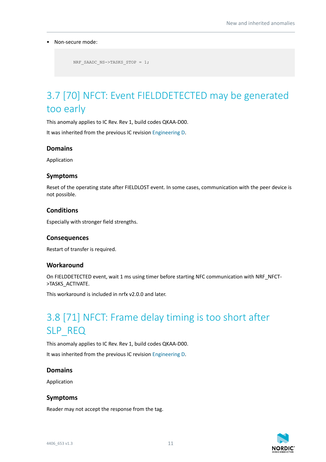#### • Non-secure mode:

```
 NRF_SAADC_NS->TASKS_STOP = 1;
```
# <span id="page-10-0"></span>3.7 [70] NFCT: Event FIELDDETECTED may be generated too early

This anomaly applies to IC Rev. Rev 1, build codes QKAA-D00.

It was inherited from the previous IC revision [Engineering D.](https://infocenter.nordicsemi.com/topic/errata_nRF5340_EngD/ERR/nRF5340/EngineeringD/latest/err_340.html)

# **Domains**

Application

# **Symptoms**

Reset of the operating state after FIELDLOST event. In some cases, communication with the peer device is not possible.

### **Conditions**

Especially with stronger field strengths.

#### **Consequences**

Restart of transfer is required.

#### **Workaround**

On FIELDDETECTED event, wait 1 ms using timer before starting NFC communication with NRF\_NFCT->TASKS\_ACTIVATE.

This workaround is included in nrfx v2.0.0 and later.

# <span id="page-10-1"></span>3.8 [71] NFCT: Frame delay timing is too short after SLP REQ

This anomaly applies to IC Rev. Rev 1, build codes QKAA-D00. It was inherited from the previous IC revision [Engineering D.](https://infocenter.nordicsemi.com/topic/errata_nRF5340_EngD/ERR/nRF5340/EngineeringD/latest/err_340.html)

#### **Domains**

Application

#### **Symptoms**

Reader may not accept the response from the tag.

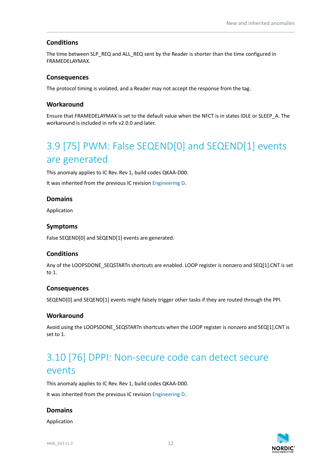# **Conditions**

The time between SLP\_REQ and ALL\_REQ sent by the Reader is shorter than the time configured in FRAMEDELAYMAX.

# **Consequences**

The protocol timing is violated, and a Reader may not accept the response from the tag.

### **Workaround**

Ensure that FRAMEDELAYMAX is set to the default value when the NFCT is in states IDLE or SLEEP\_A. The workaround is included in nrfx v2.0.0 and later.

# <span id="page-11-0"></span>3.9 [75] PWM: False SEQEND[0] and SEQEND[1] events are generated

This anomaly applies to IC Rev. Rev 1, build codes QKAA-D00.

It was inherited from the previous IC revision [Engineering D.](https://infocenter.nordicsemi.com/topic/errata_nRF5340_EngD/ERR/nRF5340/EngineeringD/latest/err_340.html)

### **Domains**

Application

# **Symptoms**

False SEQEND[0] and SEQEND[1] events are generated.

# **Conditions**

Any of the LOOPSDONE\_SEQSTARTn shortcuts are enabled. LOOP register is nonzero and SEQ[1].CNT is set to 1.

#### **Consequences**

SEQEND[0] and SEQEND[1] events might falsely trigger other tasks if they are routed through the PPI.

#### **Workaround**

Avoid using the LOOPSDONE\_SEQSTARTn shortcuts when the LOOP register is nonzero and SEQ[1].CNT is set to 1.

# <span id="page-11-1"></span>3.10 [76] DPPI: Non-secure code can detect secure events

This anomaly applies to IC Rev. Rev 1, build codes QKAA-D00. It was inherited from the previous IC revision [Engineering D.](https://infocenter.nordicsemi.com/topic/errata_nRF5340_EngD/ERR/nRF5340/EngineeringD/latest/err_340.html)

# **Domains**

Application

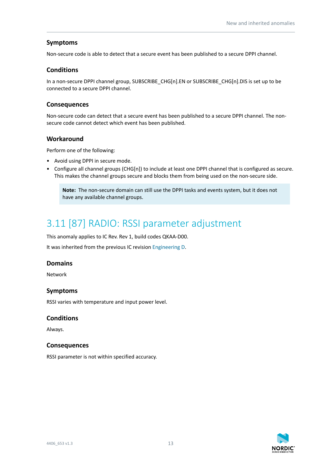# **Symptoms**

Non-secure code is able to detect that a secure event has been published to a secure DPPI channel.

# **Conditions**

In a non-secure DPPI channel group, SUBSCRIBE\_CHG[n].EN or SUBSCRIBE\_CHG[n].DIS is set up to be connected to a secure DPPI channel.

# **Consequences**

Non-secure code can detect that a secure event has been published to a secure DPPI channel. The nonsecure code cannot detect which event has been published.

# **Workaround**

Perform one of the following:

- Avoid using DPPI in secure mode.
- Configure all channel groups (CHG[n]) to include at least one DPPI channel that is configured as secure. This makes the channel groups secure and blocks them from being used on the non-secure side.

**Note:** The non-secure domain can still use the DPPI tasks and events system, but it does not have any available channel groups.

# <span id="page-12-0"></span>3.11 [87] RADIO: RSSI parameter adjustment

This anomaly applies to IC Rev. Rev 1, build codes QKAA-D00.

It was inherited from the previous IC revision [Engineering D.](https://infocenter.nordicsemi.com/topic/errata_nRF5340_EngD/ERR/nRF5340/EngineeringD/latest/err_340.html)

# **Domains**

Network

# **Symptoms**

RSSI varies with temperature and input power level.

# **Conditions**

Always.

# **Consequences**

RSSI parameter is not within specified accuracy.

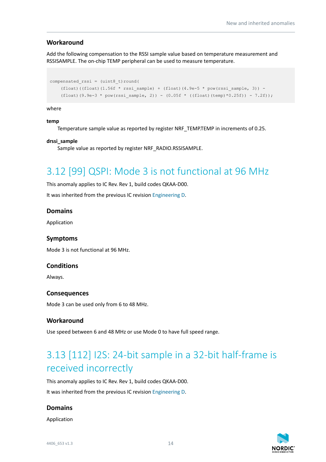### **Workaround**

Add the following compensation to the RSSI sample value based on temperature measurement and RSSISAMPLE. The on-chip TEMP peripheral can be used to measure temperature.

```
compensated rssi = (uint8 t)round((float)((float)(1.56f * rssi_sample) + (float)(4.9e-5 * pow(rssi_sample, 3)) -
    (float)(9.9e-3 * pow(rssi sample, 2)) - (0.05f * ((float)(temp)*0.25f)) - 7.2f));
```
#### where

#### **temp**

Temperature sample value as reported by register NRF\_TEMP.TEMP in increments of 0.25.

#### **drssi\_sample**

Sample value as reported by register NRF\_RADIO.RSSISAMPLE.

# <span id="page-13-0"></span>3.12 [99] QSPI: Mode 3 is not functional at 96 MHz

This anomaly applies to IC Rev. Rev 1, build codes QKAA-D00.

It was inherited from the previous IC revision [Engineering D.](https://infocenter.nordicsemi.com/topic/errata_nRF5340_EngD/ERR/nRF5340/EngineeringD/latest/err_340.html)

#### **Domains**

Application

#### **Symptoms**

Mode 3 is not functional at 96 MHz.

#### **Conditions**

Always.

#### **Consequences**

Mode 3 can be used only from 6 to 48 MHz.

#### **Workaround**

Use speed between 6 and 48 MHz or use Mode 0 to have full speed range.

# <span id="page-13-1"></span>3.13 [112] I2S: 24-bit sample in a 32-bit half-frame is received incorrectly

This anomaly applies to IC Rev. Rev 1, build codes QKAA-D00.

It was inherited from the previous IC revision [Engineering D.](https://infocenter.nordicsemi.com/topic/errata_nRF5340_EngD/ERR/nRF5340/EngineeringD/latest/err_340.html)

#### **Domains**

Application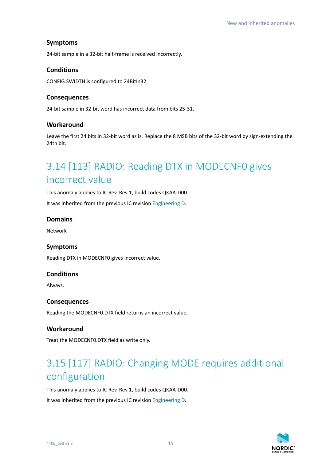# **Symptoms**

24-bit sample in a 32-bit half-frame is received incorrectly.

# **Conditions**

CONFIG.SWIDTH is configured to 24BitIn32.

# **Consequences**

24-bit sample in 32-bit word has incorrect data from bits 25-31.

# **Workaround**

Leave the first 24 bits in 32-bit word as is. Replace the 8 MSB bits of the 32-bit word by sign-extending the 24th bit.

# <span id="page-14-0"></span>3.14 [113] RADIO: Reading DTX in MODECNF0 gives incorrect value

This anomaly applies to IC Rev. Rev 1, build codes QKAA-D00.

It was inherited from the previous IC revision [Engineering D.](https://infocenter.nordicsemi.com/topic/errata_nRF5340_EngD/ERR/nRF5340/EngineeringD/latest/err_340.html)

# **Domains**

Network

# **Symptoms**

Reading DTX in MODECNF0 gives incorrect value.

#### **Conditions**

Always.

#### **Consequences**

Reading the MODECNF0.DTX field returns an incorrect value.

# **Workaround**

Treat the MODECNF0.DTX field as write only.

# <span id="page-14-1"></span>3.15 [117] RADIO: Changing MODE requires additional configuration

This anomaly applies to IC Rev. Rev 1, build codes QKAA-D00. It was inherited from the previous IC revision [Engineering D.](https://infocenter.nordicsemi.com/topic/errata_nRF5340_EngD/ERR/nRF5340/EngineeringD/latest/err_340.html)

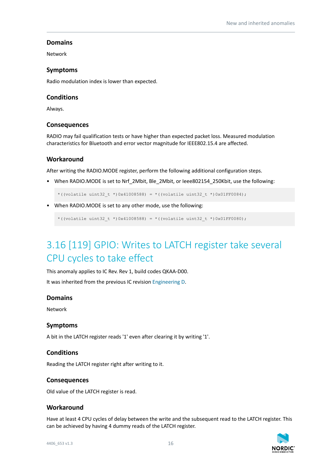# **Domains**

Network

### **Symptoms**

Radio modulation index is lower than expected.

### **Conditions**

Always.

#### **Consequences**

RADIO may fail qualification tests or have higher than expected packet loss. Measured modulation characteristics for Bluetooth and error vector magnitude for IEEE802.15.4 are affected.

### **Workaround**

After writing the RADIO.MODE register, perform the following additional configuration steps.

• When RADIO.MODE is set to Nrf 2Mbit, Ble 2Mbit, or Ieee802154 250Kbit, use the following:

\*((volatile uint32 t \*)0x41008588) = \*((volatile uint32 t \*)0x01FF0084);

• When RADIO.MODE is set to any other mode, use the following:

\*((volatile uint32 t \*)0x41008588) = \*((volatile uint32 t \*)0x01FF0080);

# <span id="page-15-0"></span>3.16 [119] GPIO: Writes to LATCH register take several CPU cycles to take effect

This anomaly applies to IC Rev. Rev 1, build codes QKAA-D00.

It was inherited from the previous IC revision [Engineering D.](https://infocenter.nordicsemi.com/topic/errata_nRF5340_EngD/ERR/nRF5340/EngineeringD/latest/err_340.html)

#### **Domains**

Network

#### **Symptoms**

A bit in the LATCH register reads '1' even after clearing it by writing '1'.

#### **Conditions**

Reading the LATCH register right after writing to it.

#### **Consequences**

Old value of the LATCH register is read.

#### **Workaround**

Have at least 4 CPU cycles of delay between the write and the subsequent read to the LATCH register. This can be achieved by having 4 dummy reads of the LATCH register.

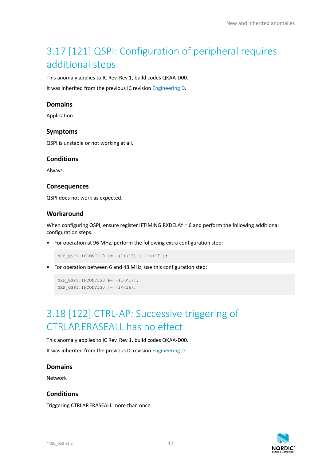# <span id="page-16-0"></span>3.17 [121] QSPI: Configuration of peripheral requires additional steps

This anomaly applies to IC Rev. Rev 1, build codes QKAA-D00.

It was inherited from the previous IC revision [Engineering D.](https://infocenter.nordicsemi.com/topic/errata_nRF5340_EngD/ERR/nRF5340/EngineeringD/latest/err_340.html)

#### **Domains**

Application

#### **Symptoms**

QSPI is unstable or not working at all.

#### **Conditions**

Always.

#### **Consequences**

QSPI does not work as expected.

### **Workaround**

When configuring QSPI, ensure register IFTIMING.RXDELAY = 6 and perform the following additional configuration steps.

• For operation at 96 MHz, perform the following extra configuration step:

NRF QSPI.IFCONFIGO  $| = (1 \le 16) | (1 \le 17)$ ;

• For operation between 6 and 48 MHz, use this configuration step:

```
NRF QSPI.IFCONFIG0 &= ~(1<<17);
NRF QSPI.IFCONFIGO | = (1 \le 16);
```
# <span id="page-16-1"></span>3.18 [122] CTRL-AP: Successive triggering of CTRLAP.ERASEALL has no effect

This anomaly applies to IC Rev. Rev 1, build codes QKAA-D00.

It was inherited from the previous IC revision [Engineering D.](https://infocenter.nordicsemi.com/topic/errata_nRF5340_EngD/ERR/nRF5340/EngineeringD/latest/err_340.html)

#### **Domains**

Network

#### **Conditions**

Triggering CTRLAP.ERASEALL more than once.

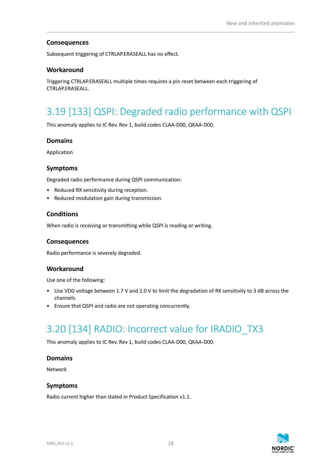# **Consequences**

Subsequent triggering of CTRLAP.ERASEALL has no effect.

### **Workaround**

Triggering CTRLAP.ERASEALL multiple times requires a pin reset between each triggering of CTRLAP.ERASEALL.

# <span id="page-17-0"></span>3.19 [133] QSPI: Degraded radio performance with QSPI

This anomaly applies to IC Rev. Rev 1, build codes CLAA-D00, QKAA-D00.

# **Domains**

Application

### **Symptoms**

Degraded radio performance during QSPI communication:

- Reduced RX sensitivity during reception.
- Reduced modulation gain during transmission.

### **Conditions**

When radio is receiving or transmitting while QSPI is reading or writing.

#### **Consequences**

Radio performance is severely degraded.

# **Workaround**

Use one of the following:

- Use VDD voltage between 1.7 V and 2.0 V to limit the degradation of RX sensitivity to 3 dB across the channels.
- Ensure that QSPI and radio are not operating concurrently.

# <span id="page-17-1"></span>3.20 [134] RADIO: Incorrect value for IRADIO\_TX3

This anomaly applies to IC Rev. Rev 1, build codes CLAA-D00, QKAA-D00.

#### **Domains**

Network

#### **Symptoms**

Radio current higher than stated in Product Specification v1.1.

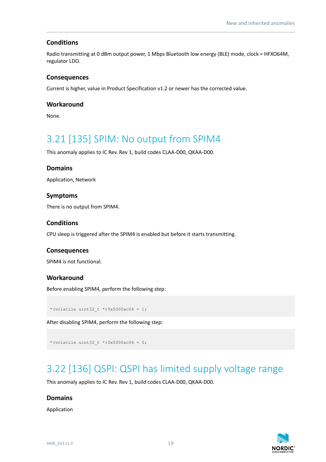# **Conditions**

Radio transmitting at 0 dBm output power, 1 Mbps Bluetooth low energy (BLE) mode, clock = HFXO64M, regulator LDO.

### **Consequences**

Current is higher, value in Product Specification v1.2 or newer has the corrected value.

### **Workaround**

None.

# <span id="page-18-0"></span>3.21 [135] SPIM: No output from SPIM4

This anomaly applies to IC Rev. Rev 1, build codes CLAA-D00, QKAA-D00.

### **Domains**

Application, Network

### **Symptoms**

There is no output from SPIM4.

### **Conditions**

CPU sleep is triggered after the SPIM4 is enabled but before it starts transmitting.

#### **Consequences**

SPIM4 is not functional.

#### **Workaround**

Before enabling SPIM4, perform the following step:

\*(volatile uint32 t \*)0x5000ac04 = 1;

After disabling SPIM4, perform the following step:

```
*(volatile uint32 t *)0x5000ac04 = 0;
```
# <span id="page-18-1"></span>3.22 [136] QSPI: QSPI has limited supply voltage range

This anomaly applies to IC Rev. Rev 1, build codes CLAA-D00, QKAA-D00.

#### **Domains**

Application

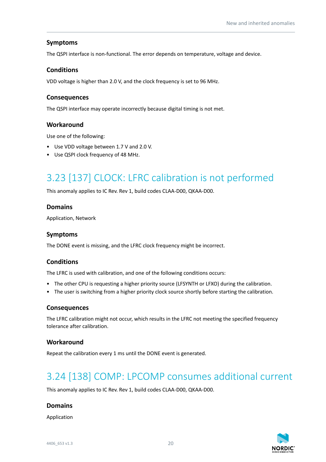# **Symptoms**

The QSPI interface is non-functional. The error depends on temperature, voltage and device.

### **Conditions**

VDD voltage is higher than 2.0 V, and the clock frequency is set to 96 MHz.

### **Consequences**

The QSPI interface may operate incorrectly because digital timing is not met.

### **Workaround**

Use one of the following:

- Use VDD voltage between 1.7 V and 2.0 V.
- Use QSPI clock frequency of 48 MHz.

# <span id="page-19-0"></span>3.23 [137] CLOCK: LFRC calibration is not performed

This anomaly applies to IC Rev. Rev 1, build codes CLAA-D00, QKAA-D00.

### **Domains**

Application, Network

### **Symptoms**

The DONE event is missing, and the LFRC clock frequency might be incorrect.

# **Conditions**

The LFRC is used with calibration, and one of the following conditions occurs:

- The other CPU is requesting a higher priority source (LFSYNTH or LFXO) during the calibration.
- The user is switching from a higher priority clock source shortly before starting the calibration.

#### **Consequences**

The LFRC calibration might not occur, which results in the LFRC not meeting the specified frequency tolerance after calibration.

#### **Workaround**

Repeat the calibration every 1 ms until the DONE event is generated.

# <span id="page-19-1"></span>3.24 [138] COMP: LPCOMP consumes additional current

This anomaly applies to IC Rev. Rev 1, build codes CLAA-D00, QKAA-D00.

#### **Domains**

Application